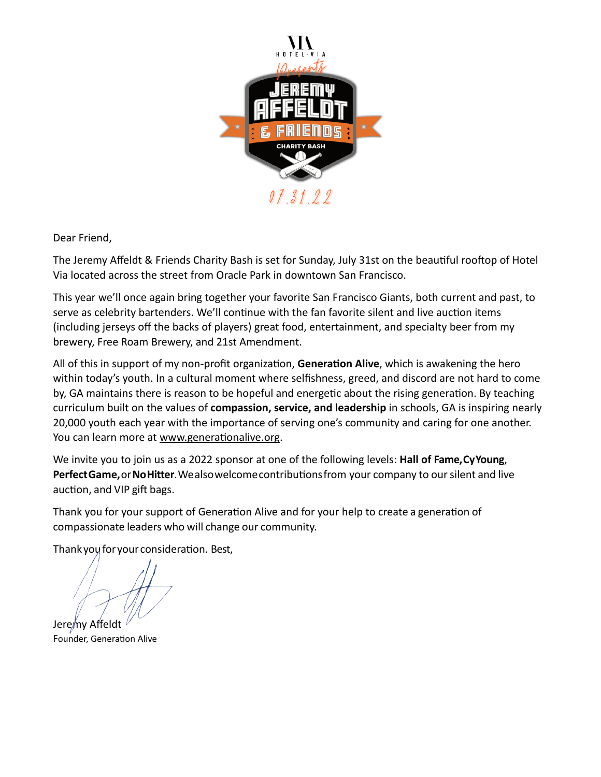

Dear Friend,

The Jeremy Affeldt & Friends Charity Bash is set for Sunday, July 31st on the beautiful rooftop of Hotel Via located across the street from Oracle Park in downtown San Francisco.

This year we'll once again bring together your favorite San Francisco Giants, both current and past, to serve as celebrity bartenders. We'll continue with the fan favorite silent and live auction items (including jerseys off the backs of players) great food, entertainment, and specialty beer from my brewery, Free Roam Brewery, and 21st Amendment.

All of this in support of my non-profit organization, **Generation Alive**, which is awakening the hero within today's youth. In a cultural moment where selfishness, greed, and discord are not hard to come by, GA maintains there is reason to be hopeful and energetic about the rising generation. By teaching curriculum built on the values of **compassion, service, and leadership** in schools, GA is inspiring nearly 20,000 youth each year with the importance of serving one's community and caring for one another. You can learn more at [www.generationalive.org](http://www.generationalive.org).

We invite you to join us as a 2022 sponsor at one of the following levels: **Hall of Fame,CyYoung**, **PerfectGame,**or**NoHitter**.Wealsowelcomecontributionsfrom your company to oursilent and live auction, and VIP gift bags.

Thank you for your support of Generation Alive and for your help to create a generation of compassionate leaders who will change our community.

Thank you for your consideration. Best,

Jeremy Affeldt Founder, Generation Alive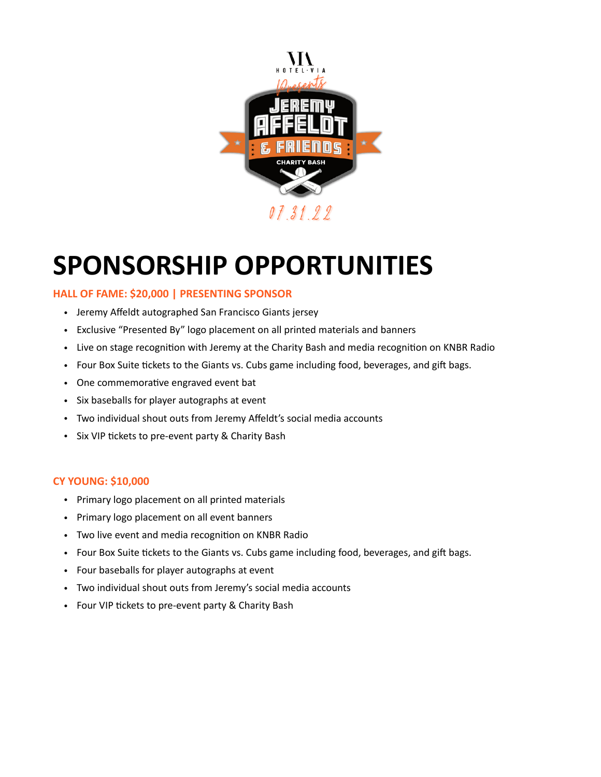

# **SPONSORSHIP OPPORTUNITIES**

# **HALL OF FAME: \$20,000 | PRESENTING SPONSOR**

- Jeremy Affeldt autographed San Francisco Giants jersey
- Exclusive "Presented By" logo placement on all printed materials and banners
- Live on stage recognition with Jeremy at the Charity Bash and media recognition on KNBR Radio
- Four Box Suite tickets to the Giants vs. Cubs game including food, beverages, and gift bags.
- One commemorative engraved event bat
- Six baseballs for player autographs at event
- Two individual shout outs from Jeremy Affeldt's social media accounts
- Six VIP tickets to pre-event party & Charity Bash

# **CY YOUNG: \$10,000**

- Primary logo placement on all printed materials
- Primary logo placement on all event banners
- Two live event and media recognition on KNBR Radio
- Four Box Suite tickets to the Giants vs. Cubs game including food, beverages, and gift bags.
- Four baseballs for player autographs at event
- Two individual shout outs from Jeremy's social media accounts
- Four VIP tickets to pre-event party & Charity Bash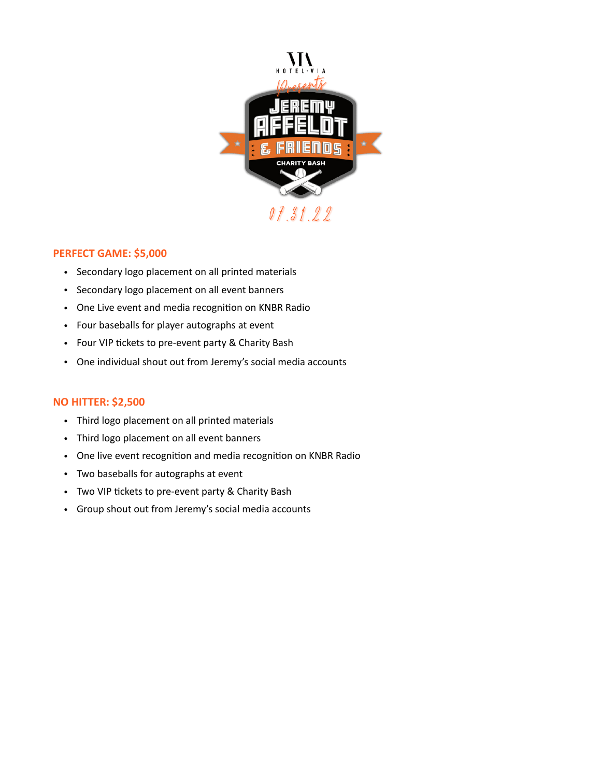

#### **PERFECT GAME: \$5,000**

- Secondary logo placement on all printed materials
- Secondary logo placement on all event banners
- One Live event and media recognition on KNBR Radio
- Four baseballs for player autographs at event
- Four VIP tickets to pre-event party & Charity Bash
- One individual shout out from Jeremy's social media accounts

#### **NO HITTER: \$2,500**

- Third logo placement on all printed materials
- Third logo placement on all event banners
- One live event recognition and media recognition on KNBR Radio
- Two baseballs for autographs at event
- Two VIP tickets to pre-event party & Charity Bash
- Group shout out from Jeremy's social media accounts